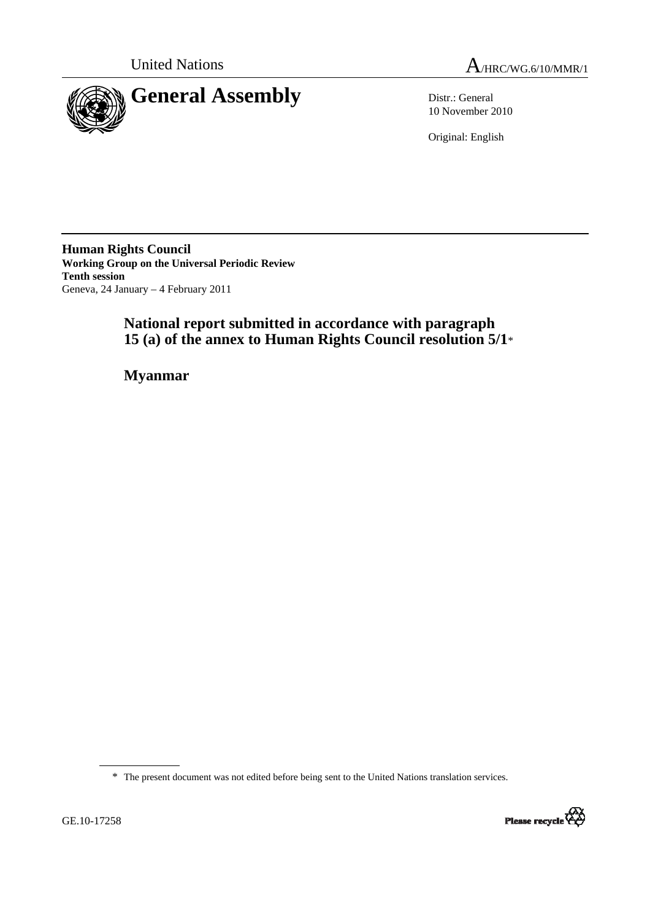

United Nations  $A_{/HRC/WG.6/10/MMR/1}$ 

10 November 2010

Original: English

**Human Rights Council Working Group on the Universal Periodic Review Tenth session**  Geneva, 24 January – 4 February 2011

# **National report submitted in accordance with paragraph 15 (a) of the annex to Human Rights Council resolution 5/1**\*

 **Myanmar** 

\* The present document was not edited before being sent to the United Nations translation services.

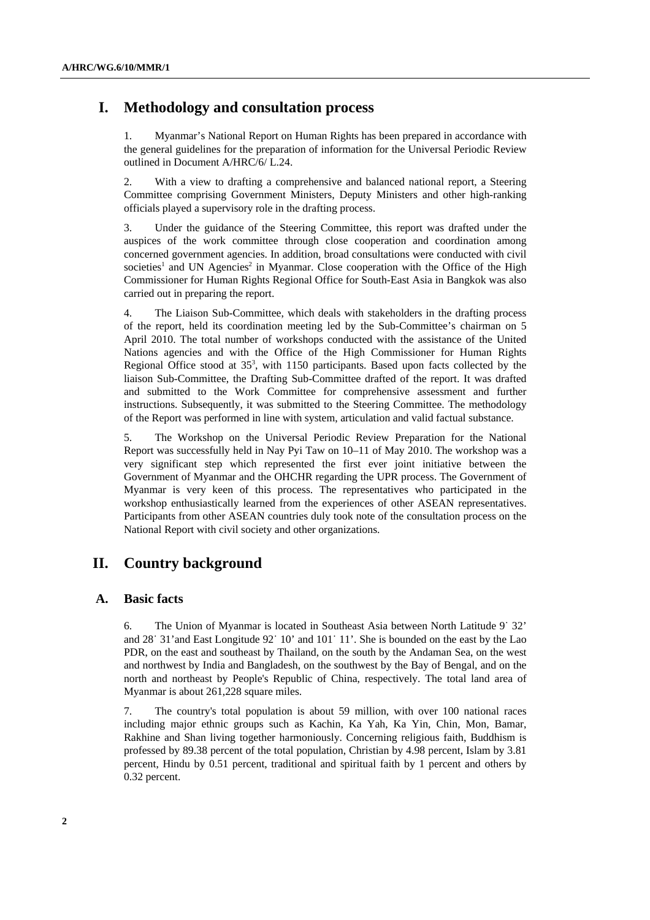# **I. Methodology and consultation process**

1. Myanmar's National Report on Human Rights has been prepared in accordance with the general guidelines for the preparation of information for the Universal Periodic Review outlined in Document A/HRC/6/ L.24.

2. With a view to drafting a comprehensive and balanced national report, a Steering Committee comprising Government Ministers, Deputy Ministers and other high-ranking officials played a supervisory role in the drafting process.

3. Under the guidance of the Steering Committee, this report was drafted under the auspices of the work committee through close cooperation and coordination among concerned government agencies. In addition, broad consultations were conducted with civil societies<sup>1</sup> and UN Agencies<sup>2</sup> in Myanmar. Close cooperation with the Office of the High Commissioner for Human Rights Regional Office for South-East Asia in Bangkok was also carried out in preparing the report.

4. The Liaison Sub-Committee, which deals with stakeholders in the drafting process of the report, held its coordination meeting led by the Sub-Committee's chairman on 5 April 2010. The total number of workshops conducted with the assistance of the United Nations agencies and with the Office of the High Commissioner for Human Rights Regional Office stood at  $35<sup>3</sup>$ , with 1150 participants. Based upon facts collected by the liaison Sub-Committee, the Drafting Sub-Committee drafted of the report. It was drafted and submitted to the Work Committee for comprehensive assessment and further instructions. Subsequently, it was submitted to the Steering Committee. The methodology of the Report was performed in line with system, articulation and valid factual substance.

5. The Workshop on the Universal Periodic Review Preparation for the National Report was successfully held in Nay Pyi Taw on 10–11 of May 2010. The workshop was a very significant step which represented the first ever joint initiative between the Government of Myanmar and the OHCHR regarding the UPR process. The Government of Myanmar is very keen of this process. The representatives who participated in the workshop enthusiastically learned from the experiences of other ASEAN representatives. Participants from other ASEAN countries duly took note of the consultation process on the National Report with civil society and other organizations.

# **II. Country background**

# **A. Basic facts**

6. The Union of Myanmar is located in Southeast Asia between North Latitude 9˙ 32' and 28˙ 31'and East Longitude 92˙ 10' and 101˙ 11'. She is bounded on the east by the Lao PDR, on the east and southeast by Thailand, on the south by the Andaman Sea, on the west and northwest by India and Bangladesh, on the southwest by the Bay of Bengal, and on the north and northeast by People's Republic of China, respectively. The total land area of Myanmar is about 261,228 square miles.

7. The country's total population is about 59 million, with over 100 national races including major ethnic groups such as Kachin, Ka Yah, Ka Yin, Chin, Mon, Bamar, Rakhine and Shan living together harmoniously. Concerning religious faith, Buddhism is professed by 89.38 percent of the total population, Christian by 4.98 percent, Islam by 3.81 percent, Hindu by 0.51 percent, traditional and spiritual faith by 1 percent and others by 0.32 percent.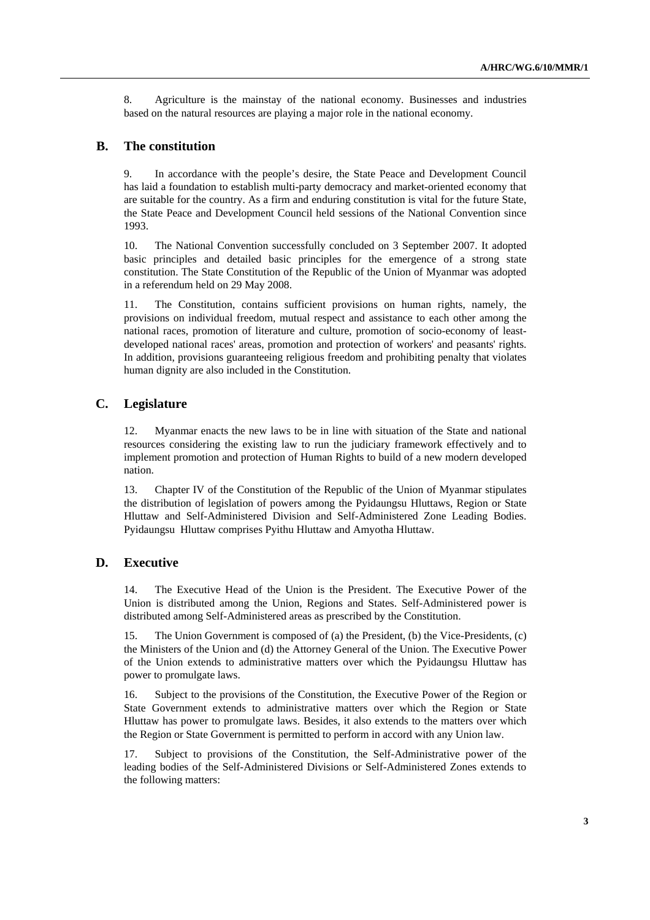8. Agriculture is the mainstay of the national economy. Businesses and industries based on the natural resources are playing a major role in the national economy.

# **B. The constitution**

9. In accordance with the people's desire, the State Peace and Development Council has laid a foundation to establish multi-party democracy and market-oriented economy that are suitable for the country. As a firm and enduring constitution is vital for the future State, the State Peace and Development Council held sessions of the National Convention since 1993.

10. The National Convention successfully concluded on 3 September 2007. It adopted basic principles and detailed basic principles for the emergence of a strong state constitution. The State Constitution of the Republic of the Union of Myanmar was adopted in a referendum held on 29 May 2008.

11. The Constitution, contains sufficient provisions on human rights, namely, the provisions on individual freedom, mutual respect and assistance to each other among the national races, promotion of literature and culture, promotion of socio-economy of leastdeveloped national races' areas, promotion and protection of workers' and peasants' rights. In addition, provisions guaranteeing religious freedom and prohibiting penalty that violates human dignity are also included in the Constitution.

# **C. Legislature**

12. Myanmar enacts the new laws to be in line with situation of the State and national resources considering the existing law to run the judiciary framework effectively and to implement promotion and protection of Human Rights to build of a new modern developed nation.

13. Chapter IV of the Constitution of the Republic of the Union of Myanmar stipulates the distribution of legislation of powers among the Pyidaungsu Hluttaws, Region or State Hluttaw and Self-Administered Division and Self-Administered Zone Leading Bodies. Pyidaungsu Hluttaw comprises Pyithu Hluttaw and Amyotha Hluttaw.

## **D. Executive**

14. The Executive Head of the Union is the President. The Executive Power of the Union is distributed among the Union, Regions and States. Self-Administered power is distributed among Self-Administered areas as prescribed by the Constitution.

15. The Union Government is composed of (a) the President, (b) the Vice-Presidents, (c) the Ministers of the Union and (d) the Attorney General of the Union. The Executive Power of the Union extends to administrative matters over which the Pyidaungsu Hluttaw has power to promulgate laws.

16. Subject to the provisions of the Constitution, the Executive Power of the Region or State Government extends to administrative matters over which the Region or State Hluttaw has power to promulgate laws. Besides, it also extends to the matters over which the Region or State Government is permitted to perform in accord with any Union law.

17. Subject to provisions of the Constitution, the Self-Administrative power of the leading bodies of the Self-Administered Divisions or Self-Administered Zones extends to the following matters: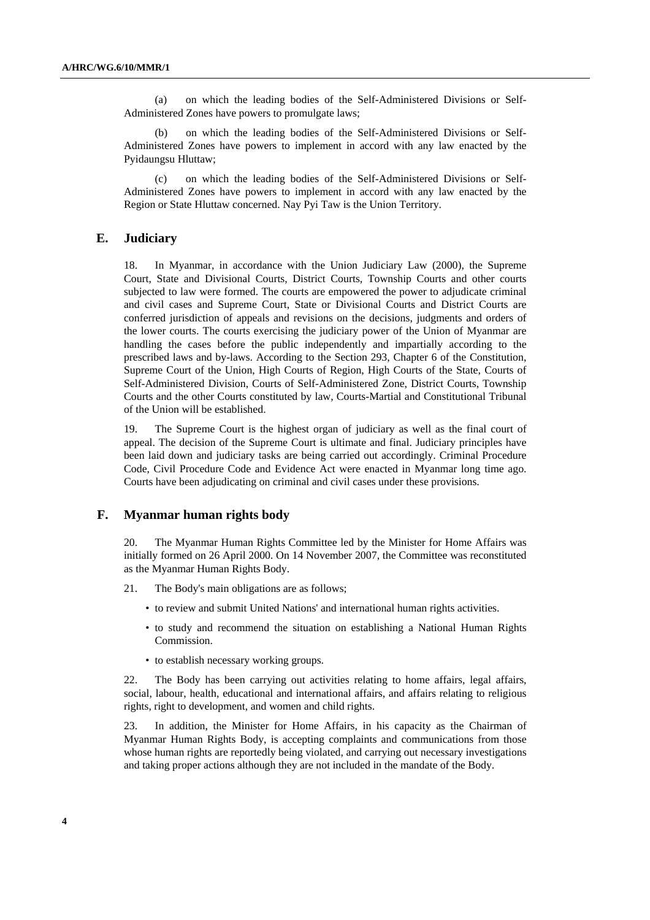(a) on which the leading bodies of the Self-Administered Divisions or Self-Administered Zones have powers to promulgate laws;

(b) on which the leading bodies of the Self-Administered Divisions or Self-Administered Zones have powers to implement in accord with any law enacted by the Pyidaungsu Hluttaw;

(c) on which the leading bodies of the Self-Administered Divisions or Self-Administered Zones have powers to implement in accord with any law enacted by the Region or State Hluttaw concerned. Nay Pyi Taw is the Union Territory.

# **E. Judiciary**

18. In Myanmar, in accordance with the Union Judiciary Law (2000), the Supreme Court, State and Divisional Courts, District Courts, Township Courts and other courts subjected to law were formed. The courts are empowered the power to adjudicate criminal and civil cases and Supreme Court, State or Divisional Courts and District Courts are conferred jurisdiction of appeals and revisions on the decisions, judgments and orders of the lower courts. The courts exercising the judiciary power of the Union of Myanmar are handling the cases before the public independently and impartially according to the prescribed laws and by-laws. According to the Section 293, Chapter 6 of the Constitution, Supreme Court of the Union, High Courts of Region, High Courts of the State, Courts of Self-Administered Division, Courts of Self-Administered Zone, District Courts, Township Courts and the other Courts constituted by law, Courts-Martial and Constitutional Tribunal of the Union will be established.

19. The Supreme Court is the highest organ of judiciary as well as the final court of appeal. The decision of the Supreme Court is ultimate and final. Judiciary principles have been laid down and judiciary tasks are being carried out accordingly. Criminal Procedure Code, Civil Procedure Code and Evidence Act were enacted in Myanmar long time ago. Courts have been adjudicating on criminal and civil cases under these provisions.

### **F. Myanmar human rights body**

20. The Myanmar Human Rights Committee led by the Minister for Home Affairs was initially formed on 26 April 2000. On 14 November 2007, the Committee was reconstituted as the Myanmar Human Rights Body.

- 21. The Body's main obligations are as follows;
	- to review and submit United Nations' and international human rights activities.
	- to study and recommend the situation on establishing a National Human Rights Commission.
	- to establish necessary working groups.

22. The Body has been carrying out activities relating to home affairs, legal affairs, social, labour, health, educational and international affairs, and affairs relating to religious rights, right to development, and women and child rights.

23. In addition, the Minister for Home Affairs, in his capacity as the Chairman of Myanmar Human Rights Body, is accepting complaints and communications from those whose human rights are reportedly being violated, and carrying out necessary investigations and taking proper actions although they are not included in the mandate of the Body.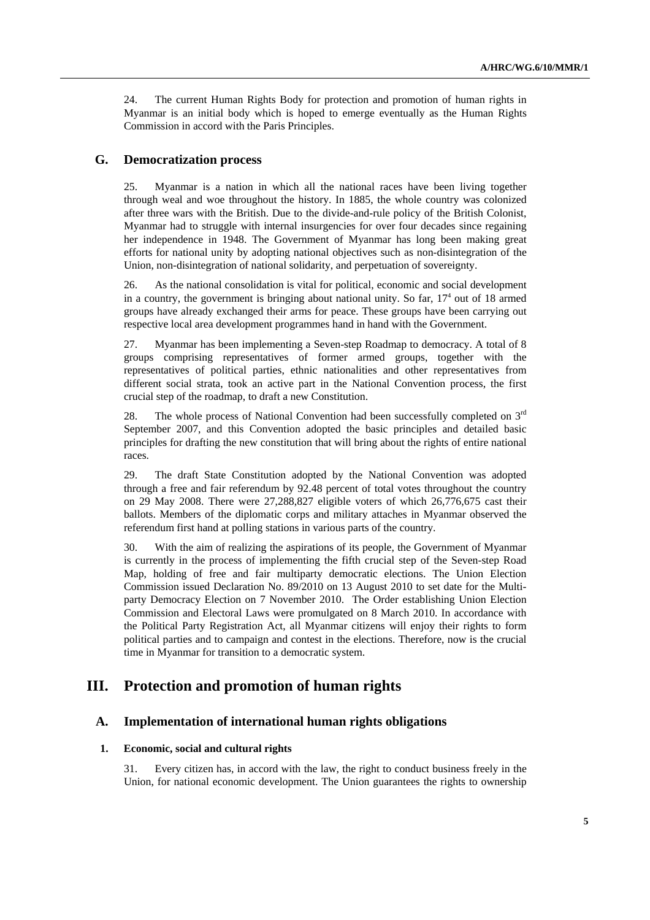24. The current Human Rights Body for protection and promotion of human rights in Myanmar is an initial body which is hoped to emerge eventually as the Human Rights Commission in accord with the Paris Principles.

# **G. Democratization process**

25. Myanmar is a nation in which all the national races have been living together through weal and woe throughout the history. In 1885, the whole country was colonized after three wars with the British. Due to the divide-and-rule policy of the British Colonist, Myanmar had to struggle with internal insurgencies for over four decades since regaining her independence in 1948. The Government of Myanmar has long been making great efforts for national unity by adopting national objectives such as non-disintegration of the Union, non-disintegration of national solidarity, and perpetuation of sovereignty.

26. As the national consolidation is vital for political, economic and social development in a country, the government is bringing about national unity. So far,  $17<sup>4</sup>$  out of 18 armed groups have already exchanged their arms for peace. These groups have been carrying out respective local area development programmes hand in hand with the Government.

27. Myanmar has been implementing a Seven-step Roadmap to democracy. A total of 8 groups comprising representatives of former armed groups, together with the representatives of political parties, ethnic nationalities and other representatives from different social strata, took an active part in the National Convention process, the first crucial step of the roadmap, to draft a new Constitution.

28. The whole process of National Convention had been successfully completed on  $3<sup>rd</sup>$ September 2007, and this Convention adopted the basic principles and detailed basic principles for drafting the new constitution that will bring about the rights of entire national races.

29. The draft State Constitution adopted by the National Convention was adopted through a free and fair referendum by 92.48 percent of total votes throughout the country on 29 May 2008. There were 27,288,827 eligible voters of which 26,776,675 cast their ballots. Members of the diplomatic corps and military attaches in Myanmar observed the referendum first hand at polling stations in various parts of the country.

30. With the aim of realizing the aspirations of its people, the Government of Myanmar is currently in the process of implementing the fifth crucial step of the Seven-step Road Map, holding of free and fair multiparty democratic elections. The Union Election Commission issued Declaration No. 89/2010 on 13 August 2010 to set date for the Multiparty Democracy Election on 7 November 2010. The Order establishing Union Election Commission and Electoral Laws were promulgated on 8 March 2010. In accordance with the Political Party Registration Act, all Myanmar citizens will enjoy their rights to form political parties and to campaign and contest in the elections. Therefore, now is the crucial time in Myanmar for transition to a democratic system.

# **III. Protection and promotion of human rights**

## **A. Implementation of international human rights obligations**

## **1. Economic, social and cultural rights**

31. Every citizen has, in accord with the law, the right to conduct business freely in the Union, for national economic development. The Union guarantees the rights to ownership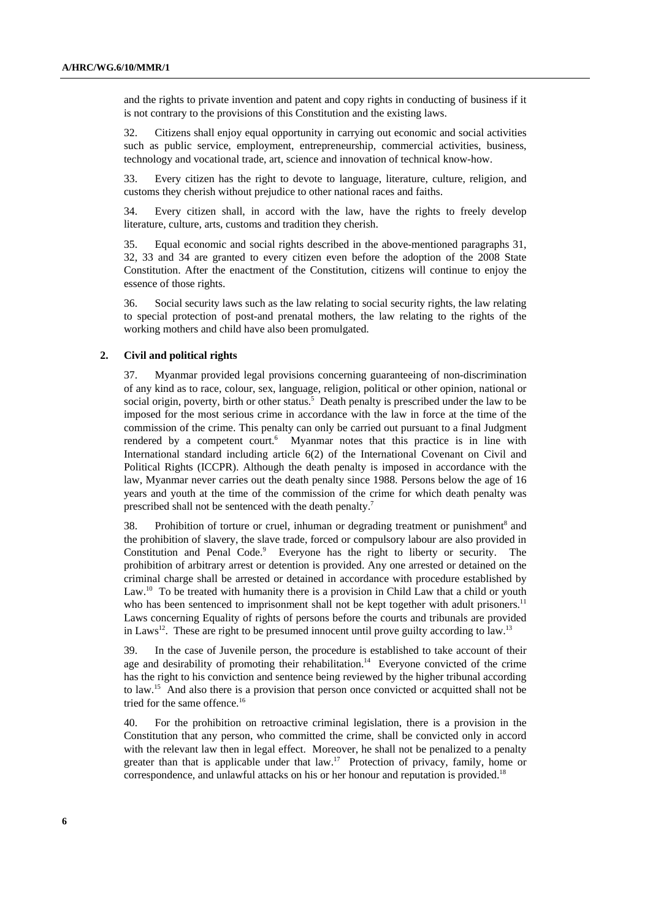and the rights to private invention and patent and copy rights in conducting of business if it is not contrary to the provisions of this Constitution and the existing laws.

32. Citizens shall enjoy equal opportunity in carrying out economic and social activities such as public service, employment, entrepreneurship, commercial activities, business, technology and vocational trade, art, science and innovation of technical know-how.

33. Every citizen has the right to devote to language, literature, culture, religion, and customs they cherish without prejudice to other national races and faiths.

34. Every citizen shall, in accord with the law, have the rights to freely develop literature, culture, arts, customs and tradition they cherish.

35. Equal economic and social rights described in the above-mentioned paragraphs 31, 32, 33 and 34 are granted to every citizen even before the adoption of the 2008 State Constitution. After the enactment of the Constitution, citizens will continue to enjoy the essence of those rights.

36. Social security laws such as the law relating to social security rights, the law relating to special protection of post-and prenatal mothers, the law relating to the rights of the working mothers and child have also been promulgated.

#### **2. Civil and political rights**

37. Myanmar provided legal provisions concerning guaranteeing of non-discrimination of any kind as to race, colour, sex, language, religion, political or other opinion, national or social origin, poverty, birth or other status.<sup>5</sup> Death penalty is prescribed under the law to be imposed for the most serious crime in accordance with the law in force at the time of the commission of the crime. This penalty can only be carried out pursuant to a final Judgment rendered by a competent court. $6$  Myanmar notes that this practice is in line with International standard including article 6(2) of the International Covenant on Civil and Political Rights (ICCPR). Although the death penalty is imposed in accordance with the law, Myanmar never carries out the death penalty since 1988. Persons below the age of 16 years and youth at the time of the commission of the crime for which death penalty was prescribed shall not be sentenced with the death penalty.<sup>7</sup>

38. Prohibition of torture or cruel, inhuman or degrading treatment or punishment<sup>8</sup> and the prohibition of slavery, the slave trade, forced or compulsory labour are also provided in Constitution and Penal Code.<sup>9</sup> Everyone has the right to liberty or security. The prohibition of arbitrary arrest or detention is provided. Any one arrested or detained on the criminal charge shall be arrested or detained in accordance with procedure established by Law.<sup>10</sup> To be treated with humanity there is a provision in Child Law that a child or youth who has been sentenced to imprisonment shall not be kept together with adult prisoners.<sup>11</sup> Laws concerning Equality of rights of persons before the courts and tribunals are provided in Laws<sup>12</sup>. These are right to be presumed innocent until prove guilty according to law.<sup>13</sup>

39. In the case of Juvenile person, the procedure is established to take account of their age and desirability of promoting their rehabilitation.<sup>14</sup> Everyone convicted of the crime has the right to his conviction and sentence being reviewed by the higher tribunal according to law.15 And also there is a provision that person once convicted or acquitted shall not be tried for the same offence.<sup>16</sup>

40. For the prohibition on retroactive criminal legislation, there is a provision in the Constitution that any person, who committed the crime, shall be convicted only in accord with the relevant law then in legal effect. Moreover, he shall not be penalized to a penalty greater than that is applicable under that law.<sup>17</sup> Protection of privacy, family, home or correspondence, and unlawful attacks on his or her honour and reputation is provided.<sup>18</sup>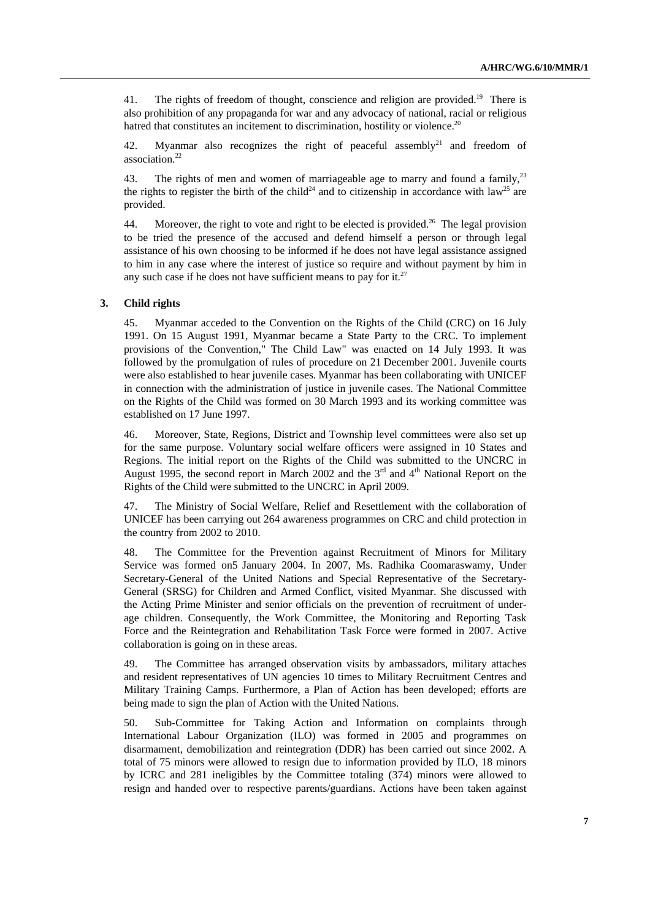41. The rights of freedom of thought, conscience and religion are provided.<sup>19</sup> There is also prohibition of any propaganda for war and any advocacy of national, racial or religious hatred that constitutes an incitement to discrimination, hostility or violence.<sup>20</sup>

42. Myanmar also recognizes the right of peaceful assembly<sup>21</sup> and freedom of association.<sup>22</sup>

43. The rights of men and women of marriageable age to marry and found a family.<sup>23</sup> the rights to register the birth of the child<sup>24</sup> and to citizenship in accordance with law<sup>25</sup> are provided.

44. Moreover, the right to vote and right to be elected is provided.<sup>26</sup> The legal provision to be tried the presence of the accused and defend himself a person or through legal assistance of his own choosing to be informed if he does not have legal assistance assigned to him in any case where the interest of justice so require and without payment by him in any such case if he does not have sufficient means to pay for it. $^{27}$ 

#### **3. Child rights**

45. Myanmar acceded to the Convention on the Rights of the Child (CRC) on 16 July 1991. On 15 August 1991, Myanmar became a State Party to the CRC. To implement provisions of the Convention," The Child Law" was enacted on 14 July 1993. It was followed by the promulgation of rules of procedure on 21 December 2001. Juvenile courts were also established to hear juvenile cases. Myanmar has been collaborating with UNICEF in connection with the administration of justice in juvenile cases. The National Committee on the Rights of the Child was formed on 30 March 1993 and its working committee was established on 17 June 1997.

46. Moreover, State, Regions, District and Township level committees were also set up for the same purpose. Voluntary social welfare officers were assigned in 10 States and Regions. The initial report on the Rights of the Child was submitted to the UNCRC in August 1995, the second report in March 2002 and the  $3<sup>rd</sup>$  and  $4<sup>th</sup>$  National Report on the Rights of the Child were submitted to the UNCRC in April 2009.

47. The Ministry of Social Welfare, Relief and Resettlement with the collaboration of UNICEF has been carrying out 264 awareness programmes on CRC and child protection in the country from 2002 to 2010.

48. The Committee for the Prevention against Recruitment of Minors for Military Service was formed on5 January 2004. In 2007, Ms. Radhika Coomaraswamy, Under Secretary-General of the United Nations and Special Representative of the Secretary-General (SRSG) for Children and Armed Conflict, visited Myanmar. She discussed with the Acting Prime Minister and senior officials on the prevention of recruitment of underage children. Consequently, the Work Committee, the Monitoring and Reporting Task Force and the Reintegration and Rehabilitation Task Force were formed in 2007. Active collaboration is going on in these areas.

49. The Committee has arranged observation visits by ambassadors, military attaches and resident representatives of UN agencies 10 times to Military Recruitment Centres and Military Training Camps. Furthermore, a Plan of Action has been developed; efforts are being made to sign the plan of Action with the United Nations.

50. Sub-Committee for Taking Action and Information on complaints through International Labour Organization (ILO) was formed in 2005 and programmes on disarmament, demobilization and reintegration (DDR) has been carried out since 2002. A total of 75 minors were allowed to resign due to information provided by ILO, 18 minors by ICRC and 281 ineligibles by the Committee totaling (374) minors were allowed to resign and handed over to respective parents/guardians. Actions have been taken against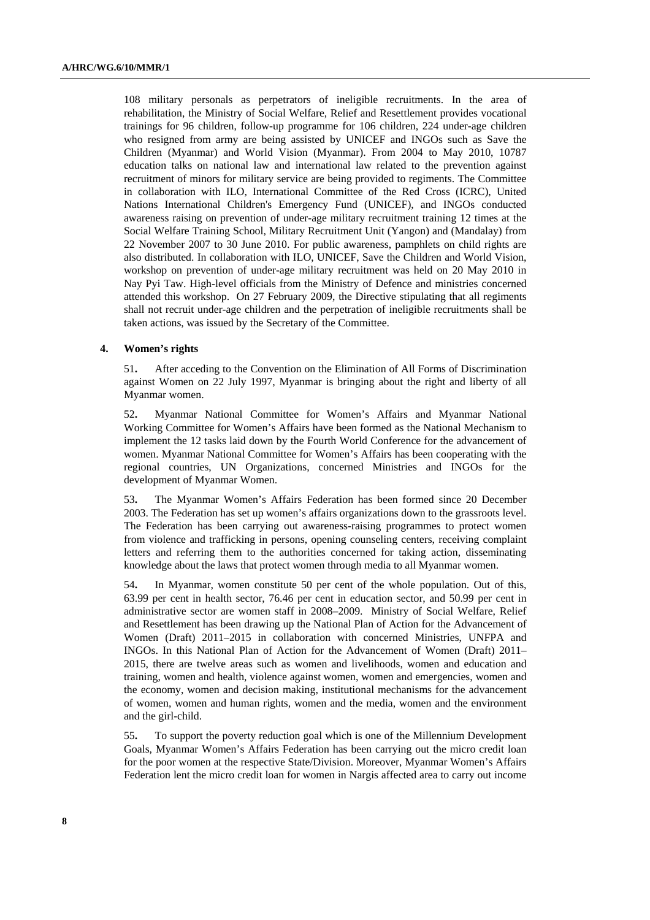108 military personals as perpetrators of ineligible recruitments. In the area of rehabilitation, the Ministry of Social Welfare, Relief and Resettlement provides vocational trainings for 96 children, follow-up programme for 106 children, 224 under-age children who resigned from army are being assisted by UNICEF and INGOs such as Save the Children (Myanmar) and World Vision (Myanmar). From 2004 to May 2010, 10787 education talks on national law and international law related to the prevention against recruitment of minors for military service are being provided to regiments. The Committee in collaboration with ILO, International Committee of the Red Cross (ICRC), United Nations International Children's Emergency Fund (UNICEF), and INGOs conducted awareness raising on prevention of under-age military recruitment training 12 times at the Social Welfare Training School, Military Recruitment Unit (Yangon) and (Mandalay) from 22 November 2007 to 30 June 2010. For public awareness, pamphlets on child rights are also distributed. In collaboration with ILO, UNICEF, Save the Children and World Vision, workshop on prevention of under-age military recruitment was held on 20 May 2010 in Nay Pyi Taw. High-level officials from the Ministry of Defence and ministries concerned attended this workshop. On 27 February 2009, the Directive stipulating that all regiments shall not recruit under-age children and the perpetration of ineligible recruitments shall be taken actions, was issued by the Secretary of the Committee.

#### **4. Women's rights**

51**.** After acceding to the Convention on the Elimination of All Forms of Discrimination against Women on 22 July 1997, Myanmar is bringing about the right and liberty of all Myanmar women.

52**.** Myanmar National Committee for Women's Affairs and Myanmar National Working Committee for Women's Affairs have been formed as the National Mechanism to implement the 12 tasks laid down by the Fourth World Conference for the advancement of women. Myanmar National Committee for Women's Affairs has been cooperating with the regional countries, UN Organizations, concerned Ministries and INGOs for the development of Myanmar Women.

53**.** The Myanmar Women's Affairs Federation has been formed since 20 December 2003. The Federation has set up women's affairs organizations down to the grassroots level. The Federation has been carrying out awareness-raising programmes to protect women from violence and trafficking in persons, opening counseling centers, receiving complaint letters and referring them to the authorities concerned for taking action, disseminating knowledge about the laws that protect women through media to all Myanmar women.

54**.** In Myanmar, women constitute 50 per cent of the whole population. Out of this, 63.99 per cent in health sector, 76.46 per cent in education sector, and 50.99 per cent in administrative sector are women staff in 2008–2009. Ministry of Social Welfare, Relief and Resettlement has been drawing up the National Plan of Action for the Advancement of Women (Draft) 2011–2015 in collaboration with concerned Ministries, UNFPA and INGOs. In this National Plan of Action for the Advancement of Women (Draft) 2011– 2015, there are twelve areas such as women and livelihoods, women and education and training, women and health, violence against women, women and emergencies, women and the economy, women and decision making, institutional mechanisms for the advancement of women, women and human rights, women and the media, women and the environment and the girl-child.

55**.** To support the poverty reduction goal which is one of the Millennium Development Goals, Myanmar Women's Affairs Federation has been carrying out the micro credit loan for the poor women at the respective State/Division. Moreover, Myanmar Women's Affairs Federation lent the micro credit loan for women in Nargis affected area to carry out income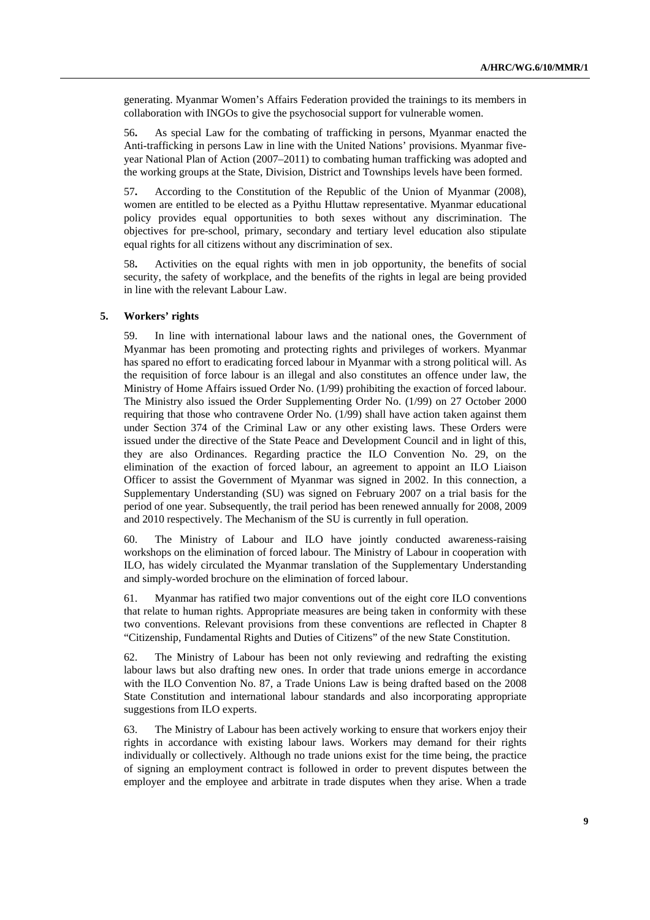generating. Myanmar Women's Affairs Federation provided the trainings to its members in collaboration with INGOs to give the psychosocial support for vulnerable women.

56**.** As special Law for the combating of trafficking in persons, Myanmar enacted the Anti-trafficking in persons Law in line with the United Nations' provisions. Myanmar fiveyear National Plan of Action (2007–2011) to combating human trafficking was adopted and the working groups at the State, Division, District and Townships levels have been formed.

57**.** According to the Constitution of the Republic of the Union of Myanmar (2008), women are entitled to be elected as a Pyithu Hluttaw representative. Myanmar educational policy provides equal opportunities to both sexes without any discrimination. The objectives for pre-school, primary, secondary and tertiary level education also stipulate equal rights for all citizens without any discrimination of sex.

58**.** Activities on the equal rights with men in job opportunity, the benefits of social security, the safety of workplace, and the benefits of the rights in legal are being provided in line with the relevant Labour Law.

## **5. Workers' rights**

59. In line with international labour laws and the national ones, the Government of Myanmar has been promoting and protecting rights and privileges of workers. Myanmar has spared no effort to eradicating forced labour in Myanmar with a strong political will. As the requisition of force labour is an illegal and also constitutes an offence under law, the Ministry of Home Affairs issued Order No. (1/99) prohibiting the exaction of forced labour. The Ministry also issued the Order Supplementing Order No. (1/99) on 27 October 2000 requiring that those who contravene Order No. (1/99) shall have action taken against them under Section 374 of the Criminal Law or any other existing laws. These Orders were issued under the directive of the State Peace and Development Council and in light of this, they are also Ordinances. Regarding practice the ILO Convention No. 29, on the elimination of the exaction of forced labour, an agreement to appoint an ILO Liaison Officer to assist the Government of Myanmar was signed in 2002. In this connection, a Supplementary Understanding (SU) was signed on February 2007 on a trial basis for the period of one year. Subsequently, the trail period has been renewed annually for 2008, 2009 and 2010 respectively. The Mechanism of the SU is currently in full operation.

60. The Ministry of Labour and ILO have jointly conducted awareness-raising workshops on the elimination of forced labour. The Ministry of Labour in cooperation with ILO, has widely circulated the Myanmar translation of the Supplementary Understanding and simply-worded brochure on the elimination of forced labour.

61. Myanmar has ratified two major conventions out of the eight core ILO conventions that relate to human rights. Appropriate measures are being taken in conformity with these two conventions. Relevant provisions from these conventions are reflected in Chapter 8 "Citizenship, Fundamental Rights and Duties of Citizens" of the new State Constitution.

62. The Ministry of Labour has been not only reviewing and redrafting the existing labour laws but also drafting new ones. In order that trade unions emerge in accordance with the ILO Convention No. 87, a Trade Unions Law is being drafted based on the 2008 State Constitution and international labour standards and also incorporating appropriate suggestions from ILO experts.

63. The Ministry of Labour has been actively working to ensure that workers enjoy their rights in accordance with existing labour laws. Workers may demand for their rights individually or collectively. Although no trade unions exist for the time being, the practice of signing an employment contract is followed in order to prevent disputes between the employer and the employee and arbitrate in trade disputes when they arise. When a trade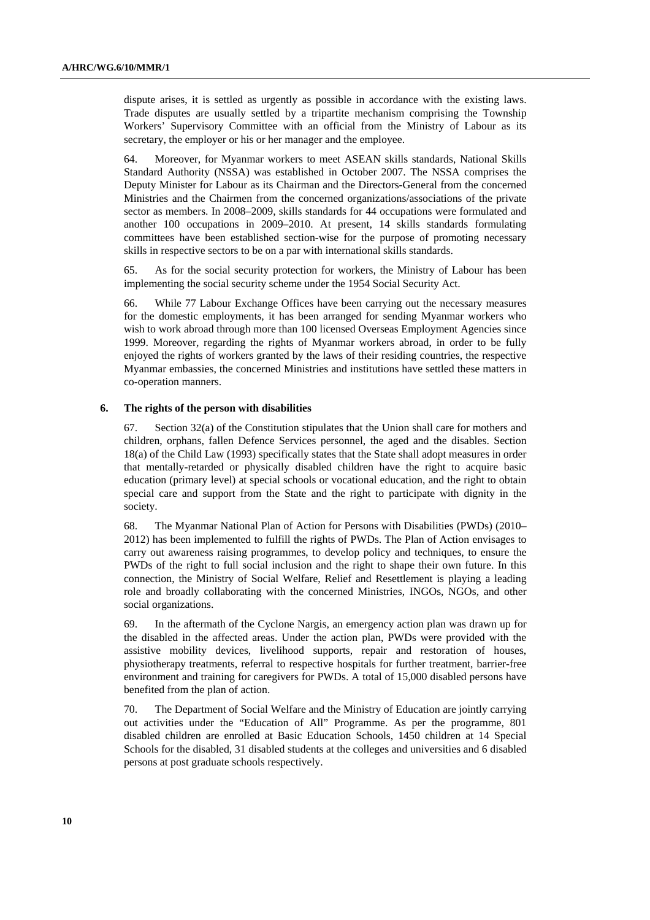dispute arises, it is settled as urgently as possible in accordance with the existing laws. Trade disputes are usually settled by a tripartite mechanism comprising the Township Workers' Supervisory Committee with an official from the Ministry of Labour as its secretary, the employer or his or her manager and the employee.

64. Moreover, for Myanmar workers to meet ASEAN skills standards, National Skills Standard Authority (NSSA) was established in October 2007. The NSSA comprises the Deputy Minister for Labour as its Chairman and the Directors-General from the concerned Ministries and the Chairmen from the concerned organizations/associations of the private sector as members. In 2008–2009, skills standards for 44 occupations were formulated and another 100 occupations in 2009–2010. At present, 14 skills standards formulating committees have been established section-wise for the purpose of promoting necessary skills in respective sectors to be on a par with international skills standards.

65. As for the social security protection for workers, the Ministry of Labour has been implementing the social security scheme under the 1954 Social Security Act.

66. While 77 Labour Exchange Offices have been carrying out the necessary measures for the domestic employments, it has been arranged for sending Myanmar workers who wish to work abroad through more than 100 licensed Overseas Employment Agencies since 1999. Moreover, regarding the rights of Myanmar workers abroad, in order to be fully enjoyed the rights of workers granted by the laws of their residing countries, the respective Myanmar embassies, the concerned Ministries and institutions have settled these matters in co-operation manners.

#### **6. The rights of the person with disabilities**

67. Section  $32(a)$  of the Constitution stipulates that the Union shall care for mothers and children, orphans, fallen Defence Services personnel, the aged and the disables. Section 18(a) of the Child Law (1993) specifically states that the State shall adopt measures in order that mentally-retarded or physically disabled children have the right to acquire basic education (primary level) at special schools or vocational education, and the right to obtain special care and support from the State and the right to participate with dignity in the society.

68. The Myanmar National Plan of Action for Persons with Disabilities (PWDs) (2010– 2012) has been implemented to fulfill the rights of PWDs. The Plan of Action envisages to carry out awareness raising programmes, to develop policy and techniques, to ensure the PWDs of the right to full social inclusion and the right to shape their own future. In this connection, the Ministry of Social Welfare, Relief and Resettlement is playing a leading role and broadly collaborating with the concerned Ministries, INGOs, NGOs, and other social organizations.

69. In the aftermath of the Cyclone Nargis, an emergency action plan was drawn up for the disabled in the affected areas. Under the action plan, PWDs were provided with the assistive mobility devices, livelihood supports, repair and restoration of houses, physiotherapy treatments, referral to respective hospitals for further treatment, barrier-free environment and training for caregivers for PWDs. A total of 15,000 disabled persons have benefited from the plan of action.

70. The Department of Social Welfare and the Ministry of Education are jointly carrying out activities under the "Education of All" Programme. As per the programme, 801 disabled children are enrolled at Basic Education Schools, 1450 children at 14 Special Schools for the disabled, 31 disabled students at the colleges and universities and 6 disabled persons at post graduate schools respectively.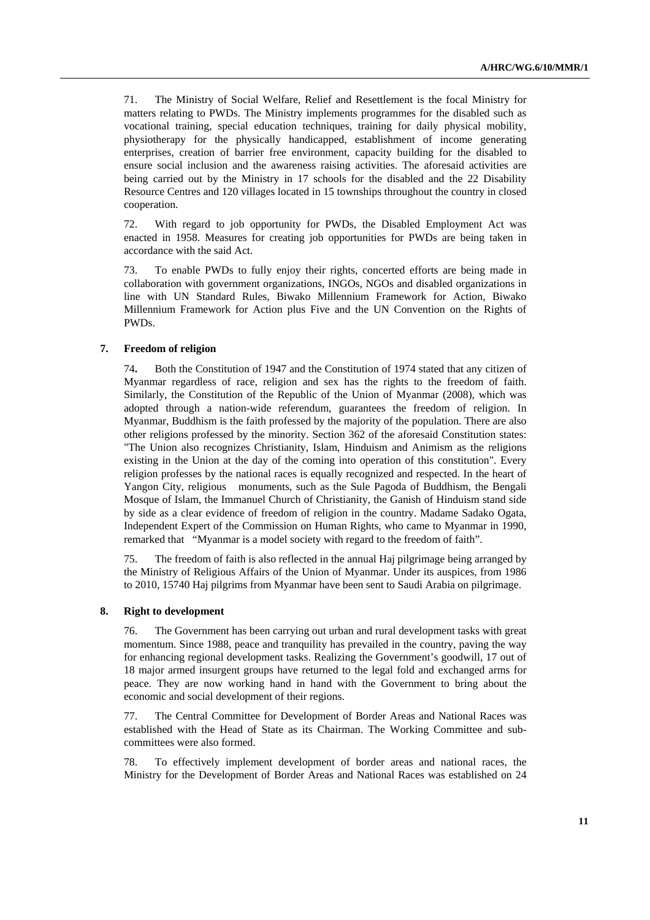71. The Ministry of Social Welfare, Relief and Resettlement is the focal Ministry for matters relating to PWDs. The Ministry implements programmes for the disabled such as vocational training, special education techniques, training for daily physical mobility, physiotherapy for the physically handicapped, establishment of income generating enterprises, creation of barrier free environment, capacity building for the disabled to ensure social inclusion and the awareness raising activities. The aforesaid activities are being carried out by the Ministry in 17 schools for the disabled and the 22 Disability Resource Centres and 120 villages located in 15 townships throughout the country in closed cooperation.

72. With regard to job opportunity for PWDs, the Disabled Employment Act was enacted in 1958. Measures for creating job opportunities for PWDs are being taken in accordance with the said Act.

73. To enable PWDs to fully enjoy their rights, concerted efforts are being made in collaboration with government organizations, INGOs, NGOs and disabled organizations in line with UN Standard Rules, Biwako Millennium Framework for Action, Biwako Millennium Framework for Action plus Five and the UN Convention on the Rights of PWDs.

### **7. Freedom of religion**

74**.** Both the Constitution of 1947 and the Constitution of 1974 stated that any citizen of Myanmar regardless of race, religion and sex has the rights to the freedom of faith. Similarly, the Constitution of the Republic of the Union of Myanmar (2008), which was adopted through a nation-wide referendum, guarantees the freedom of religion. In Myanmar, Buddhism is the faith professed by the majority of the population. There are also other religions professed by the minority. Section 362 of the aforesaid Constitution states: "The Union also recognizes Christianity, Islam, Hinduism and Animism as the religions existing in the Union at the day of the coming into operation of this constitution". Every religion professes by the national races is equally recognized and respected. In the heart of Yangon City, religious monuments, such as the Sule Pagoda of Buddhism, the Bengali Mosque of Islam, the Immanuel Church of Christianity, the Ganish of Hinduism stand side by side as a clear evidence of freedom of religion in the country. Madame Sadako Ogata, Independent Expert of the Commission on Human Rights, who came to Myanmar in 1990, remarked that "Myanmar is a model society with regard to the freedom of faith".

75. The freedom of faith is also reflected in the annual Haj pilgrimage being arranged by the Ministry of Religious Affairs of the Union of Myanmar. Under its auspices, from 1986 to 2010, 15740 Haj pilgrims from Myanmar have been sent to Saudi Arabia on pilgrimage.

#### **8. Right to development**

76. The Government has been carrying out urban and rural development tasks with great momentum. Since 1988, peace and tranquility has prevailed in the country, paving the way for enhancing regional development tasks. Realizing the Government's goodwill, 17 out of 18 major armed insurgent groups have returned to the legal fold and exchanged arms for peace. They are now working hand in hand with the Government to bring about the economic and social development of their regions.

77. The Central Committee for Development of Border Areas and National Races was established with the Head of State as its Chairman. The Working Committee and subcommittees were also formed.

78. To effectively implement development of border areas and national races, the Ministry for the Development of Border Areas and National Races was established on 24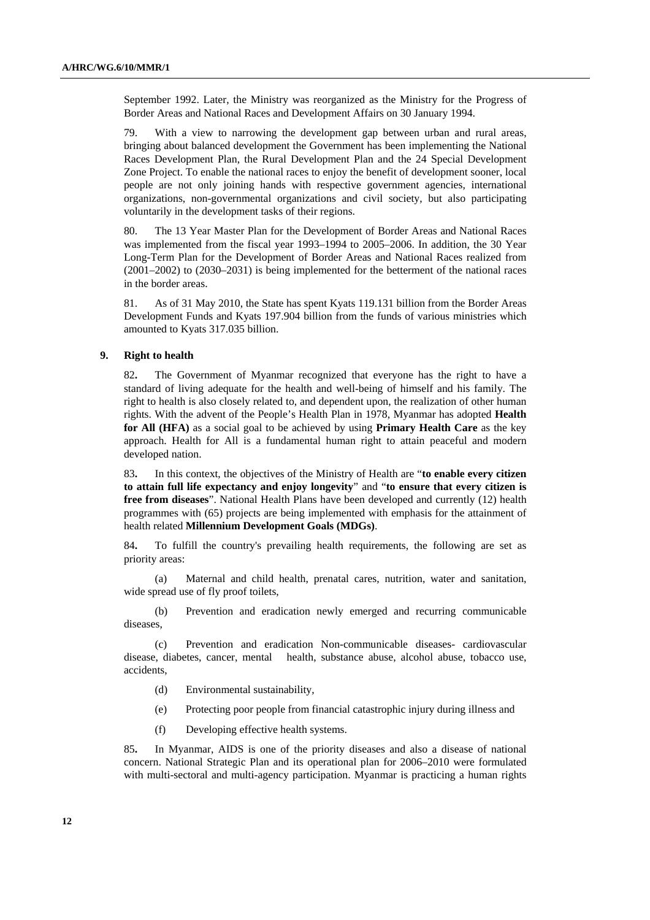September 1992. Later, the Ministry was reorganized as the Ministry for the Progress of Border Areas and National Races and Development Affairs on 30 January 1994.

79. With a view to narrowing the development gap between urban and rural areas, bringing about balanced development the Government has been implementing the National Races Development Plan, the Rural Development Plan and the 24 Special Development Zone Project. To enable the national races to enjoy the benefit of development sooner, local people are not only joining hands with respective government agencies, international organizations, non-governmental organizations and civil society, but also participating voluntarily in the development tasks of their regions.

80. The 13 Year Master Plan for the Development of Border Areas and National Races was implemented from the fiscal year 1993–1994 to 2005–2006. In addition, the 30 Year Long-Term Plan for the Development of Border Areas and National Races realized from (2001–2002) to (2030–2031) is being implemented for the betterment of the national races in the border areas.

81. As of 31 May 2010, the State has spent Kyats 119.131 billion from the Border Areas Development Funds and Kyats 197.904 billion from the funds of various ministries which amounted to Kyats 317.035 billion.

## **9. Right to health**

82**.** The Government of Myanmar recognized that everyone has the right to have a standard of living adequate for the health and well-being of himself and his family. The right to health is also closely related to, and dependent upon, the realization of other human rights. With the advent of the People's Health Plan in 1978, Myanmar has adopted **Health for All (HFA)** as a social goal to be achieved by using **Primary Health Care** as the key approach. Health for All is a fundamental human right to attain peaceful and modern developed nation.

83**.** In this context, the objectives of the Ministry of Health are "**to enable every citizen to attain full life expectancy and enjoy longevity**" and "**to ensure that every citizen is free from diseases**". National Health Plans have been developed and currently (12) health programmes with (65) projects are being implemented with emphasis for the attainment of health related **Millennium Development Goals (MDGs)**.

84**.** To fulfill the country's prevailing health requirements, the following are set as priority areas:

(a) Maternal and child health, prenatal cares, nutrition, water and sanitation, wide spread use of fly proof toilets,

(b) Prevention and eradication newly emerged and recurring communicable diseases,

(c) Prevention and eradication Non-communicable diseases- cardiovascular disease, diabetes, cancer, mental health, substance abuse, alcohol abuse, tobacco use, accidents,

- (d) Environmental sustainability,
- (e) Protecting poor people from financial catastrophic injury during illness and
- (f) Developing effective health systems.

85**.** In Myanmar, AIDS is one of the priority diseases and also a disease of national concern. National Strategic Plan and its operational plan for 2006–2010 were formulated with multi-sectoral and multi-agency participation. Myanmar is practicing a human rights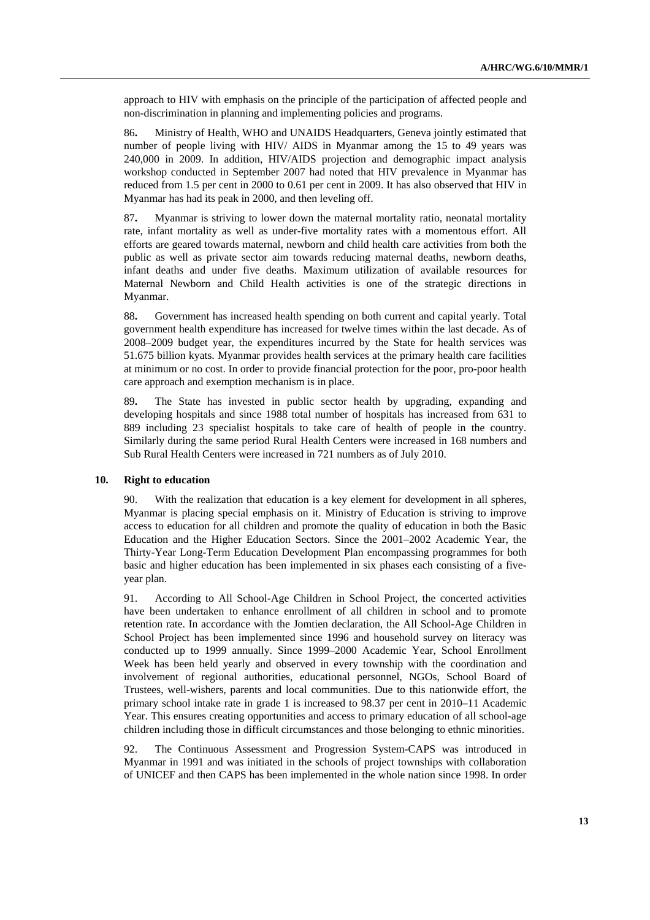approach to HIV with emphasis on the principle of the participation of affected people and non-discrimination in planning and implementing policies and programs.

86**.** Ministry of Health, WHO and UNAIDS Headquarters, Geneva jointly estimated that number of people living with HIV/ AIDS in Myanmar among the 15 to 49 years was 240,000 in 2009. In addition, HIV/AIDS projection and demographic impact analysis workshop conducted in September 2007 had noted that HIV prevalence in Myanmar has reduced from 1.5 per cent in 2000 to 0.61 per cent in 2009. It has also observed that HIV in Myanmar has had its peak in 2000, and then leveling off.

87**.** Myanmar is striving to lower down the maternal mortality ratio, neonatal mortality rate, infant mortality as well as under-five mortality rates with a momentous effort. All efforts are geared towards maternal, newborn and child health care activities from both the public as well as private sector aim towards reducing maternal deaths, newborn deaths, infant deaths and under five deaths. Maximum utilization of available resources for Maternal Newborn and Child Health activities is one of the strategic directions in Myanmar.

88**.** Government has increased health spending on both current and capital yearly. Total government health expenditure has increased for twelve times within the last decade. As of 2008–2009 budget year, the expenditures incurred by the State for health services was 51.675 billion kyats. Myanmar provides health services at the primary health care facilities at minimum or no cost. In order to provide financial protection for the poor, pro-poor health care approach and exemption mechanism is in place.

89**.** The State has invested in public sector health by upgrading, expanding and developing hospitals and since 1988 total number of hospitals has increased from 631 to 889 including 23 specialist hospitals to take care of health of people in the country. Similarly during the same period Rural Health Centers were increased in 168 numbers and Sub Rural Health Centers were increased in 721 numbers as of July 2010.

#### **10. Right to education**

90. With the realization that education is a key element for development in all spheres, Myanmar is placing special emphasis on it. Ministry of Education is striving to improve access to education for all children and promote the quality of education in both the Basic Education and the Higher Education Sectors. Since the 2001–2002 Academic Year, the Thirty-Year Long-Term Education Development Plan encompassing programmes for both basic and higher education has been implemented in six phases each consisting of a fiveyear plan.

91. According to All School-Age Children in School Project, the concerted activities have been undertaken to enhance enrollment of all children in school and to promote retention rate. In accordance with the Jomtien declaration, the All School-Age Children in School Project has been implemented since 1996 and household survey on literacy was conducted up to 1999 annually. Since 1999–2000 Academic Year, School Enrollment Week has been held yearly and observed in every township with the coordination and involvement of regional authorities, educational personnel, NGOs, School Board of Trustees, well-wishers, parents and local communities. Due to this nationwide effort, the primary school intake rate in grade 1 is increased to 98.37 per cent in 2010–11 Academic Year. This ensures creating opportunities and access to primary education of all school-age children including those in difficult circumstances and those belonging to ethnic minorities.

92. The Continuous Assessment and Progression System-CAPS was introduced in Myanmar in 1991 and was initiated in the schools of project townships with collaboration of UNICEF and then CAPS has been implemented in the whole nation since 1998. In order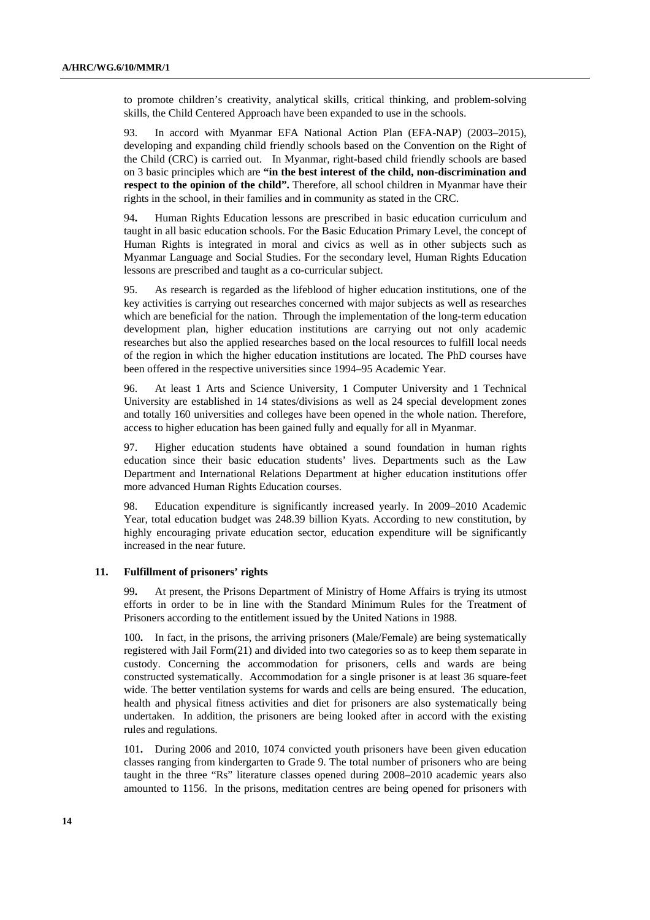to promote children's creativity, analytical skills, critical thinking, and problem-solving skills, the Child Centered Approach have been expanded to use in the schools.

93. In accord with Myanmar EFA National Action Plan (EFA-NAP) (2003–2015), developing and expanding child friendly schools based on the Convention on the Right of the Child (CRC) is carried out. In Myanmar, right-based child friendly schools are based on 3 basic principles which are **"in the best interest of the child, non-discrimination and respect to the opinion of the child".** Therefore, all school children in Myanmar have their rights in the school, in their families and in community as stated in the CRC.

94**.** Human Rights Education lessons are prescribed in basic education curriculum and taught in all basic education schools. For the Basic Education Primary Level, the concept of Human Rights is integrated in moral and civics as well as in other subjects such as Myanmar Language and Social Studies. For the secondary level, Human Rights Education lessons are prescribed and taught as a co-curricular subject.

95. As research is regarded as the lifeblood of higher education institutions, one of the key activities is carrying out researches concerned with major subjects as well as researches which are beneficial for the nation. Through the implementation of the long-term education development plan, higher education institutions are carrying out not only academic researches but also the applied researches based on the local resources to fulfill local needs of the region in which the higher education institutions are located. The PhD courses have been offered in the respective universities since 1994–95 Academic Year.

96. At least 1 Arts and Science University, 1 Computer University and 1 Technical University are established in 14 states/divisions as well as 24 special development zones and totally 160 universities and colleges have been opened in the whole nation. Therefore, access to higher education has been gained fully and equally for all in Myanmar.

97. Higher education students have obtained a sound foundation in human rights education since their basic education students' lives. Departments such as the Law Department and International Relations Department at higher education institutions offer more advanced Human Rights Education courses.

98. Education expenditure is significantly increased yearly. In 2009–2010 Academic Year, total education budget was 248.39 billion Kyats. According to new constitution, by highly encouraging private education sector, education expenditure will be significantly increased in the near future.

### **11. Fulfillment of prisoners' rights**

99**.** At present, the Prisons Department of Ministry of Home Affairs is trying its utmost efforts in order to be in line with the Standard Minimum Rules for the Treatment of Prisoners according to the entitlement issued by the United Nations in 1988.

100**.** In fact, in the prisons, the arriving prisoners (Male/Female) are being systematically registered with Jail Form(21) and divided into two categories so as to keep them separate in custody. Concerning the accommodation for prisoners, cells and wards are being constructed systematically. Accommodation for a single prisoner is at least 36 square-feet wide. The better ventilation systems for wards and cells are being ensured. The education, health and physical fitness activities and diet for prisoners are also systematically being undertaken. In addition, the prisoners are being looked after in accord with the existing rules and regulations.

101**.** During 2006 and 2010, 1074 convicted youth prisoners have been given education classes ranging from kindergarten to Grade 9. The total number of prisoners who are being taught in the three "Rs" literature classes opened during 2008–2010 academic years also amounted to 1156. In the prisons, meditation centres are being opened for prisoners with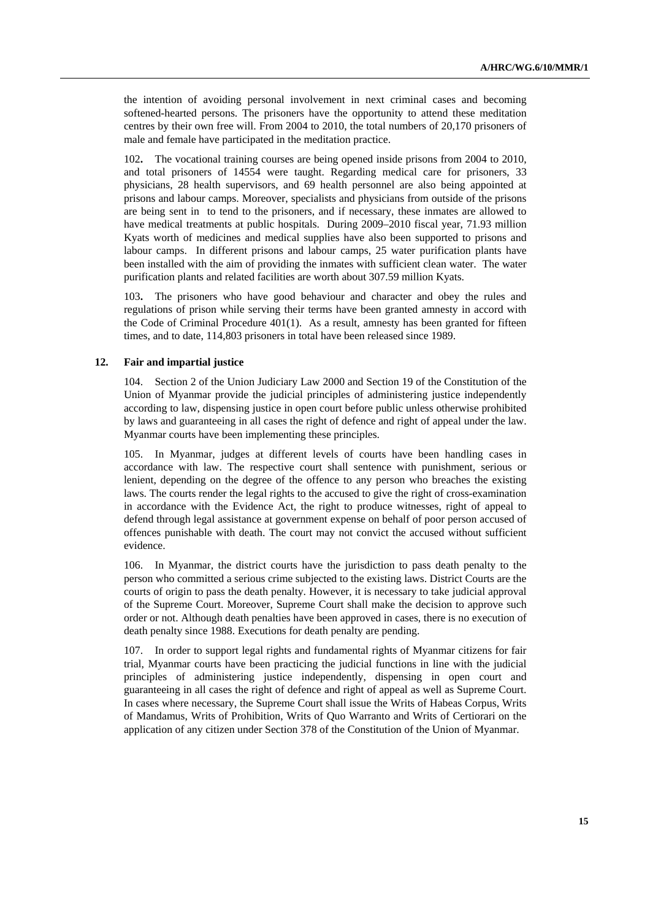the intention of avoiding personal involvement in next criminal cases and becoming softened-hearted persons. The prisoners have the opportunity to attend these meditation centres by their own free will. From 2004 to 2010, the total numbers of 20,170 prisoners of male and female have participated in the meditation practice.

102**.** The vocational training courses are being opened inside prisons from 2004 to 2010, and total prisoners of 14554 were taught. Regarding medical care for prisoners, 33 physicians, 28 health supervisors, and 69 health personnel are also being appointed at prisons and labour camps. Moreover, specialists and physicians from outside of the prisons are being sent in to tend to the prisoners, and if necessary, these inmates are allowed to have medical treatments at public hospitals. During 2009–2010 fiscal year, 71.93 million Kyats worth of medicines and medical supplies have also been supported to prisons and labour camps. In different prisons and labour camps, 25 water purification plants have been installed with the aim of providing the inmates with sufficient clean water. The water purification plants and related facilities are worth about 307.59 million Kyats.

103**.** The prisoners who have good behaviour and character and obey the rules and regulations of prison while serving their terms have been granted amnesty in accord with the Code of Criminal Procedure 401(1). As a result, amnesty has been granted for fifteen times, and to date, 114,803 prisoners in total have been released since 1989.

#### **12. Fair and impartial justice**

104. Section 2 of the Union Judiciary Law 2000 and Section 19 of the Constitution of the Union of Myanmar provide the judicial principles of administering justice independently according to law, dispensing justice in open court before public unless otherwise prohibited by laws and guaranteeing in all cases the right of defence and right of appeal under the law. Myanmar courts have been implementing these principles.

105. In Myanmar, judges at different levels of courts have been handling cases in accordance with law. The respective court shall sentence with punishment, serious or lenient, depending on the degree of the offence to any person who breaches the existing laws. The courts render the legal rights to the accused to give the right of cross-examination in accordance with the Evidence Act, the right to produce witnesses, right of appeal to defend through legal assistance at government expense on behalf of poor person accused of offences punishable with death. The court may not convict the accused without sufficient evidence.

106. In Myanmar, the district courts have the jurisdiction to pass death penalty to the person who committed a serious crime subjected to the existing laws. District Courts are the courts of origin to pass the death penalty. However, it is necessary to take judicial approval of the Supreme Court. Moreover, Supreme Court shall make the decision to approve such order or not. Although death penalties have been approved in cases, there is no execution of death penalty since 1988. Executions for death penalty are pending.

107. In order to support legal rights and fundamental rights of Myanmar citizens for fair trial, Myanmar courts have been practicing the judicial functions in line with the judicial principles of administering justice independently, dispensing in open court and guaranteeing in all cases the right of defence and right of appeal as well as Supreme Court. In cases where necessary, the Supreme Court shall issue the Writs of Habeas Corpus, Writs of Mandamus, Writs of Prohibition, Writs of Quo Warranto and Writs of Certiorari on the application of any citizen under Section 378 of the Constitution of the Union of Myanmar.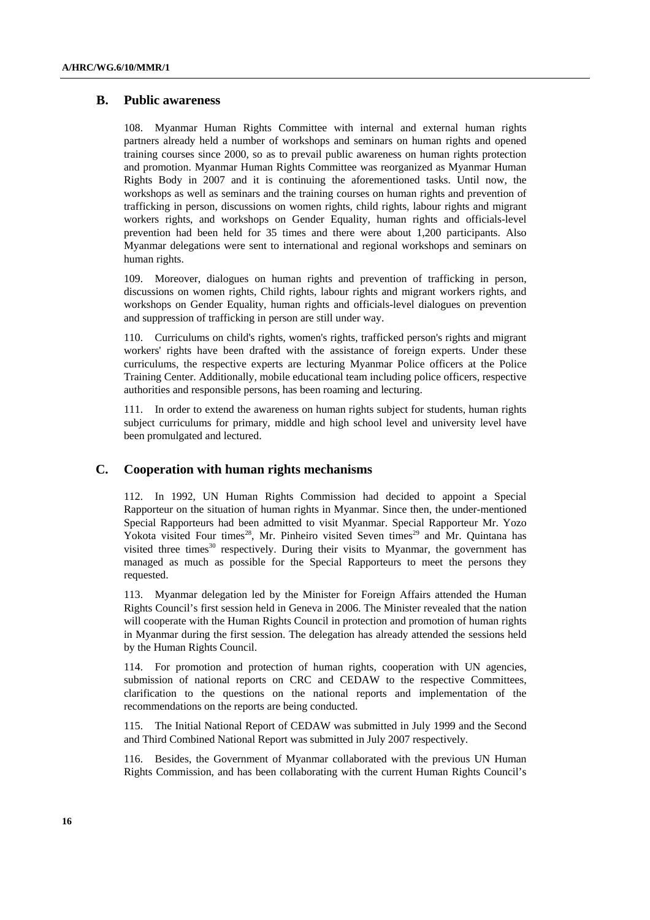### **B. Public awareness**

108. Myanmar Human Rights Committee with internal and external human rights partners already held a number of workshops and seminars on human rights and opened training courses since 2000, so as to prevail public awareness on human rights protection and promotion. Myanmar Human Rights Committee was reorganized as Myanmar Human Rights Body in 2007 and it is continuing the aforementioned tasks. Until now, the workshops as well as seminars and the training courses on human rights and prevention of trafficking in person, discussions on women rights, child rights, labour rights and migrant workers rights, and workshops on Gender Equality, human rights and officials-level prevention had been held for 35 times and there were about 1,200 participants. Also Myanmar delegations were sent to international and regional workshops and seminars on human rights.

109. Moreover, dialogues on human rights and prevention of trafficking in person, discussions on women rights, Child rights, labour rights and migrant workers rights, and workshops on Gender Equality, human rights and officials-level dialogues on prevention and suppression of trafficking in person are still under way.

110. Curriculums on child's rights, women's rights, trafficked person's rights and migrant workers' rights have been drafted with the assistance of foreign experts. Under these curriculums, the respective experts are lecturing Myanmar Police officers at the Police Training Center. Additionally, mobile educational team including police officers, respective authorities and responsible persons, has been roaming and lecturing.

111. In order to extend the awareness on human rights subject for students, human rights subject curriculums for primary, middle and high school level and university level have been promulgated and lectured.

## **C. Cooperation with human rights mechanisms**

112. In 1992, UN Human Rights Commission had decided to appoint a Special Rapporteur on the situation of human rights in Myanmar. Since then, the under-mentioned Special Rapporteurs had been admitted to visit Myanmar. Special Rapporteur Mr. Yozo Yokota visited Four times<sup>28</sup>, Mr. Pinheiro visited Seven times<sup>29</sup> and Mr. Quintana has visited three times<sup>30</sup> respectively. During their visits to Myanmar, the government has managed as much as possible for the Special Rapporteurs to meet the persons they requested.

113. Myanmar delegation led by the Minister for Foreign Affairs attended the Human Rights Council's first session held in Geneva in 2006. The Minister revealed that the nation will cooperate with the Human Rights Council in protection and promotion of human rights in Myanmar during the first session. The delegation has already attended the sessions held by the Human Rights Council.

114. For promotion and protection of human rights, cooperation with UN agencies, submission of national reports on CRC and CEDAW to the respective Committees, clarification to the questions on the national reports and implementation of the recommendations on the reports are being conducted.

115. The Initial National Report of CEDAW was submitted in July 1999 and the Second and Third Combined National Report was submitted in July 2007 respectively.

116. Besides, the Government of Myanmar collaborated with the previous UN Human Rights Commission, and has been collaborating with the current Human Rights Council's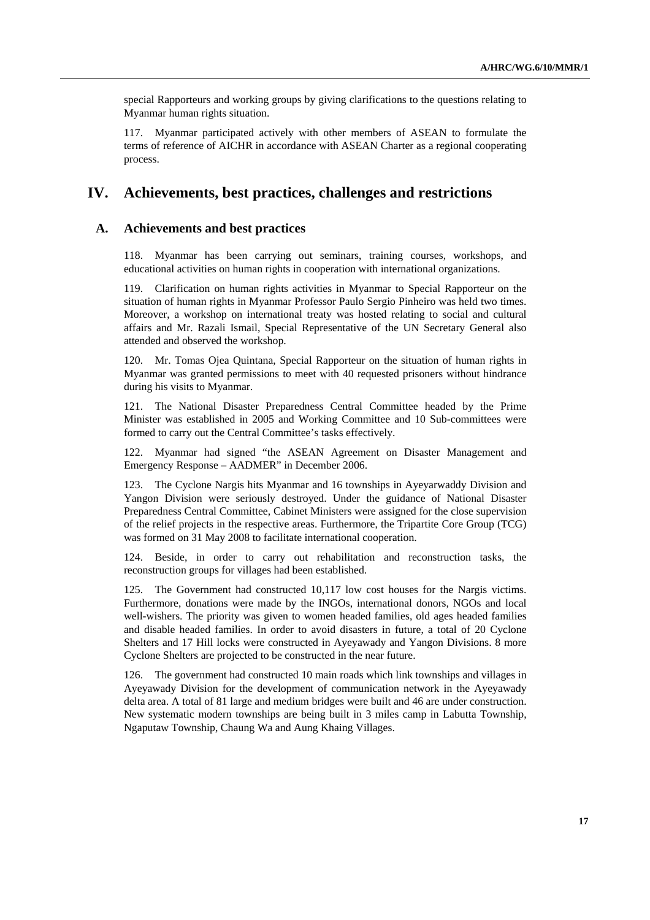special Rapporteurs and working groups by giving clarifications to the questions relating to Myanmar human rights situation.

117. Myanmar participated actively with other members of ASEAN to formulate the terms of reference of AICHR in accordance with ASEAN Charter as a regional cooperating process.

# **IV. Achievements, best practices, challenges and restrictions**

## **A. Achievements and best practices**

118. Myanmar has been carrying out seminars, training courses, workshops, and educational activities on human rights in cooperation with international organizations.

119. Clarification on human rights activities in Myanmar to Special Rapporteur on the situation of human rights in Myanmar Professor Paulo Sergio Pinheiro was held two times. Moreover, a workshop on international treaty was hosted relating to social and cultural affairs and Mr. Razali Ismail, Special Representative of the UN Secretary General also attended and observed the workshop.

120. Mr. Tomas Ojea Quintana, Special Rapporteur on the situation of human rights in Myanmar was granted permissions to meet with 40 requested prisoners without hindrance during his visits to Myanmar.

121. The National Disaster Preparedness Central Committee headed by the Prime Minister was established in 2005 and Working Committee and 10 Sub-committees were formed to carry out the Central Committee's tasks effectively.

122. Myanmar had signed "the ASEAN Agreement on Disaster Management and Emergency Response – AADMER" in December 2006.

123. The Cyclone Nargis hits Myanmar and 16 townships in Ayeyarwaddy Division and Yangon Division were seriously destroyed. Under the guidance of National Disaster Preparedness Central Committee, Cabinet Ministers were assigned for the close supervision of the relief projects in the respective areas. Furthermore, the Tripartite Core Group (TCG) was formed on 31 May 2008 to facilitate international cooperation.

124. Beside, in order to carry out rehabilitation and reconstruction tasks, the reconstruction groups for villages had been established.

125. The Government had constructed 10,117 low cost houses for the Nargis victims. Furthermore, donations were made by the INGOs, international donors, NGOs and local well-wishers. The priority was given to women headed families, old ages headed families and disable headed families. In order to avoid disasters in future, a total of 20 Cyclone Shelters and 17 Hill locks were constructed in Ayeyawady and Yangon Divisions. 8 more Cyclone Shelters are projected to be constructed in the near future.

126. The government had constructed 10 main roads which link townships and villages in Ayeyawady Division for the development of communication network in the Ayeyawady delta area. A total of 81 large and medium bridges were built and 46 are under construction. New systematic modern townships are being built in 3 miles camp in Labutta Township, Ngaputaw Township, Chaung Wa and Aung Khaing Villages.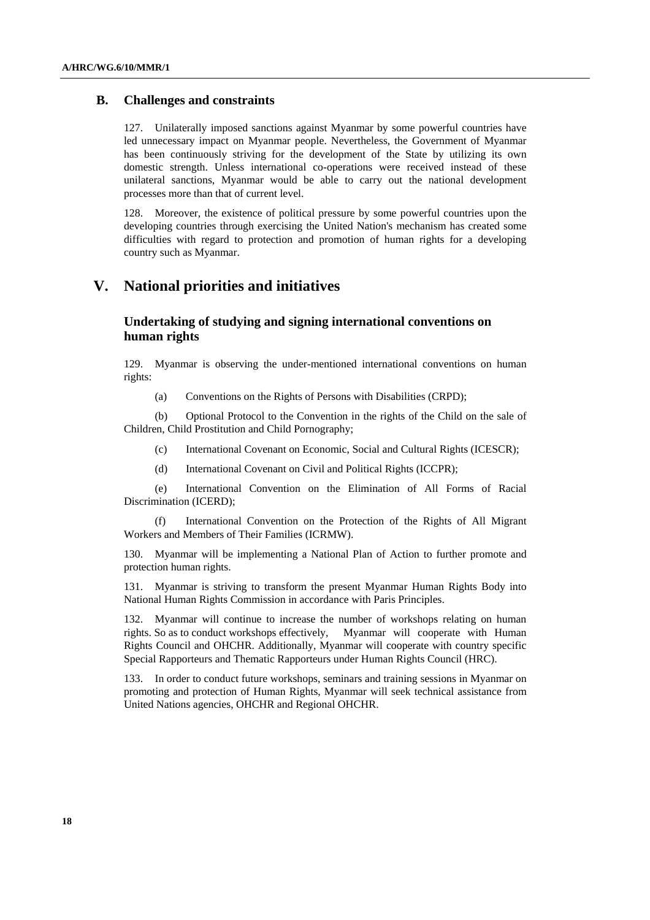## **B. Challenges and constraints**

127. Unilaterally imposed sanctions against Myanmar by some powerful countries have led unnecessary impact on Myanmar people. Nevertheless, the Government of Myanmar has been continuously striving for the development of the State by utilizing its own domestic strength. Unless international co-operations were received instead of these unilateral sanctions, Myanmar would be able to carry out the national development processes more than that of current level.

128. Moreover, the existence of political pressure by some powerful countries upon the developing countries through exercising the United Nation's mechanism has created some difficulties with regard to protection and promotion of human rights for a developing country such as Myanmar.

# **V. National priorities and initiatives**

# **Undertaking of studying and signing international conventions on human rights**

129. Myanmar is observing the under-mentioned international conventions on human rights:

(a) Conventions on the Rights of Persons with Disabilities (CRPD);

(b) Optional Protocol to the Convention in the rights of the Child on the sale of Children, Child Prostitution and Child Pornography;

- (c) International Covenant on Economic, Social and Cultural Rights (ICESCR);
- (d) International Covenant on Civil and Political Rights (ICCPR);

(e) International Convention on the Elimination of All Forms of Racial Discrimination (ICERD);

(f) International Convention on the Protection of the Rights of All Migrant Workers and Members of Their Families (ICRMW).

130. Myanmar will be implementing a National Plan of Action to further promote and protection human rights.

131. Myanmar is striving to transform the present Myanmar Human Rights Body into National Human Rights Commission in accordance with Paris Principles.

132. Myanmar will continue to increase the number of workshops relating on human rights. So as to conduct workshops effectively, Myanmar will cooperate with Human Rights Council and OHCHR. Additionally, Myanmar will cooperate with country specific Special Rapporteurs and Thematic Rapporteurs under Human Rights Council (HRC).

133. In order to conduct future workshops, seminars and training sessions in Myanmar on promoting and protection of Human Rights, Myanmar will seek technical assistance from United Nations agencies, OHCHR and Regional OHCHR.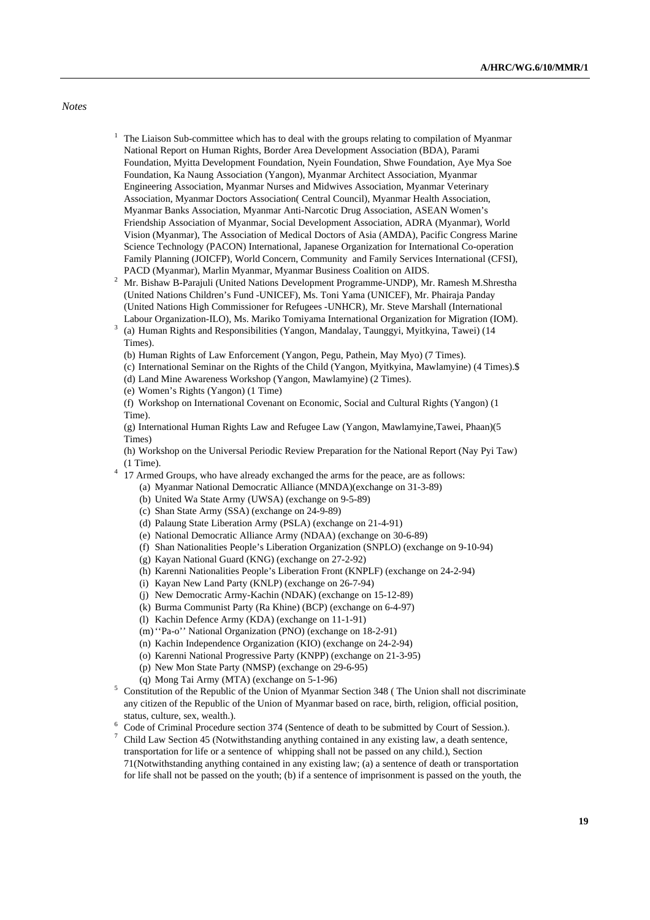#### *Notes*

- $1$  The Liaison Sub-committee which has to deal with the groups relating to compilation of Myanmar National Report on Human Rights, Border Area Development Association (BDA), Parami Foundation, Myitta Development Foundation, Nyein Foundation, Shwe Foundation, Aye Mya Soe Foundation, Ka Naung Association (Yangon), Myanmar Architect Association, Myanmar Engineering Association, Myanmar Nurses and Midwives Association, Myanmar Veterinary Association, Myanmar Doctors Association( Central Council), Myanmar Health Association, Myanmar Banks Association, Myanmar Anti-Narcotic Drug Association, ASEAN Women's Friendship Association of Myanmar, Social Development Association, ADRA (Myanmar), World Vision (Myanmar), The Association of Medical Doctors of Asia (AMDA), Pacific Congress Marine Science Technology (PACON) International, Japanese Organization for International Co-operation Family Planning (JOICFP), World Concern, Community and Family Services International (CFSI),
- PACD (Myanmar), Marlin Myanmar, Myanmar Business Coalition on AIDS. 2 Mr. Bishaw B-Parajuli (United Nations Development Programme-UNDP), Mr. Ramesh M.Shrestha (United Nations Children's Fund -UNICEF), Ms. Toni Yama (UNICEF), Mr. Phairaja Panday (United Nations High Commissioner for Refugees -UNHCR), Mr. Steve Marshall (International Labour Organization-ILO), Ms. Mariko Tomiyama International Organization for Migration (IOM). 3
- (a) Human Rights and Responsibilities (Yangon, Mandalay, Taunggyi, Myitkyina, Tawei) (14 Times).
	- (b) Human Rights of Law Enforcement (Yangon, Pegu, Pathein, May Myo) (7 Times).
- (c) International Seminar on the Rights of the Child (Yangon, Myitkyina, Mawlamyine) (4 Times).\$
- (d) Land Mine Awareness Workshop (Yangon, Mawlamyine) (2 Times).
- (e) Women's Rights (Yangon) (1 Time)

 (f) Workshop on International Covenant on Economic, Social and Cultural Rights (Yangon) (1 Time).

 (g) International Human Rights Law and Refugee Law (Yangon, Mawlamyine,Tawei, Phaan)(5 Times)

- (h) Workshop on the Universal Periodic Review Preparation for the National Report (Nay Pyi Taw) (1 Time). 4 17 Armed Groups, who have already exchanged the arms for the peace, are as follows:
- - (a) Myanmar National Democratic Alliance (MNDA)(exchange on 31-3-89)
		- (b) United Wa State Army (UWSA) (exchange on 9-5-89)
		- (c) Shan State Army (SSA) (exchange on 24-9-89)
		- (d) Palaung State Liberation Army (PSLA) (exchange on 21-4-91)
		- (e) National Democratic Alliance Army (NDAA) (exchange on 30-6-89)
	- (f) Shan Nationalities People's Liberation Organization (SNPLO) (exchange on 9-10-94)
	- (g) Kayan National Guard (KNG) (exchange on 27-2-92)
	- (h) Karenni Nationalities People's Liberation Front (KNPLF) (exchange on 24-2-94)
	- (i) Kayan New Land Party (KNLP) (exchange on 26-7-94)
	- (j) New Democratic Army-Kachin (NDAK) (exchange on 15-12-89)
	- (k) Burma Communist Party (Ra Khine) (BCP) (exchange on 6-4-97)
	- (l) Kachin Defence Army (KDA) (exchange on 11-1-91)
	- (m) ''Pa-o'' National Organization (PNO) (exchange on 18-2-91)
	- (n) Kachin Independence Organization (KIO) (exchange on 24-2-94)
	- (o) Karenni National Progressive Party (KNPP) (exchange on 21-3-95)
	- (p) New Mon State Party (NMSP) (exchange on 29-6-95)
	- (q) Mong Tai Army (MTA) (exchange on  $5-1-96$ )
- $5$  Constitution of the Republic of the Union of Myanmar Section 348 (The Union shall not discriminate any citizen of the Republic of the Union of Myanmar based on race, birth, religion, official position, status, culture, sex, wealth.).  $\frac{6}{5}$  Code of Criminal Procedure.
- <sup>6</sup> Code of Criminal Procedure section 374 (Sentence of death to be submitted by Court of Session.).<br><sup>7</sup> Child Law Section 45 (Notwithstanding epything contained in any existing law, a death sentence
- Child Law Section 45 (Notwithstanding anything contained in any existing law, a death sentence, transportation for life or a sentence of whipping shall not be passed on any child.), Section 71(Notwithstanding anything contained in any existing law; (a) a sentence of death or transportation for life shall not be passed on the youth; (b) if a sentence of imprisonment is passed on the youth, the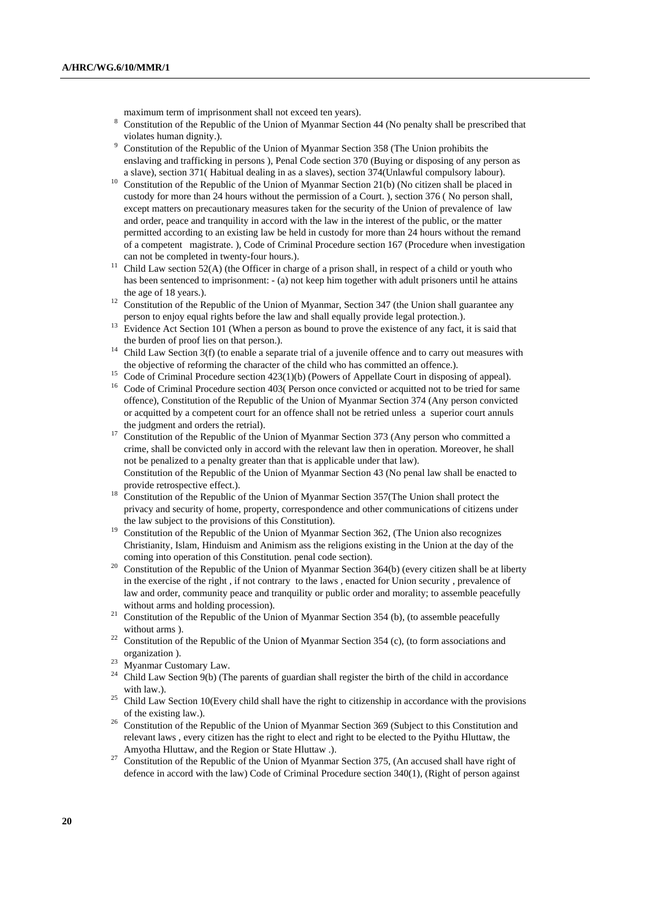maximum term of imprisonment shall not exceed ten years).

- <sup>8</sup> Constitution of the Republic of the Union of Myanmar Section 44 (No penalty shall be prescribed that violates human dignity.).
- <sup>9</sup> Constitution of the Republic of the Union of Myanmar Section 358 (The Union prohibits the enslaving and trafficking in persons ), Penal Code section 370 (Buying or disposing of any person as
- a slave), section 371( Habitual dealing in as a slaves), section 374(Unlawful compulsory labour). 10 Constitution of the Republic of the Union of Myanmar Section 21(b) (No citizen shall be placed in custody for more than 24 hours without the permission of a Court. ), section 376 ( No person shall, except matters on precautionary measures taken for the security of the Union of prevalence of law and order, peace and tranquility in accord with the law in the interest of the public, or the matter permitted according to an existing law be held in custody for more than 24 hours without the remand of a competent magistrate. ), Code of Criminal Procedure section 167 (Procedure when investigation
- can not be completed in twenty-four hours.).<br><sup>11</sup> Child Law section 52(A) (the Officer in charge of a prison shall, in respect of a child or youth who has been sentenced to imprisonment: - (a) not keep him together with adult prisoners until he attains the age of 18 years.).<br><sup>12</sup> Constitution of the Republic of the Union of Myanmar, Section 347 (the Union shall guarantee any
- person to enjoy equal rights before the law and shall equally provide legal protection.). <sup>13</sup> Evidence Act Section 101 (When a person as bound to prove the existence of any fact, it is said that
- 
- the burden of proof lies on that person.).<br><sup>14</sup> Child Law Section 3(f) (to enable a separate trial of a juvenile offence and to carry out measures with
- 
- the objective of reforming the character of the child who has committed an offence.).<br><sup>15</sup> Code of Criminal Procedure section 423(1)(b) (Powers of Appellate Court in disposing of appeal).<br><sup>16</sup> Code of Criminal Procedure s offence), Constitution of the Republic of the Union of Myanmar Section 374 (Any person convicted or acquitted by a competent court for an offence shall not be retried unless a superior court annuls
- the judgment and orders the retrial).<br><sup>17</sup> Constitution of the Republic of the Union of Myanmar Section 373 (Any person who committed a crime, shall be convicted only in accord with the relevant law then in operation. Moreover, he shall not be penalized to a penalty greater than that is applicable under that law). Constitution of the Republic of the Union of Myanmar Section 43 (No penal law shall be enacted to
- provide retrospective effect.). <sup>18</sup> Constitution of the Republic of the Union of Myanmar Section 357(The Union shall protect the privacy and security of home, property, correspondence and other communications of citizens under
- the law subject to the provisions of this Constitution).<br><sup>19</sup> Constitution of the Republic of the Union of Myanmar Section 362, (The Union also recognizes Christianity, Islam, Hinduism and Animism ass the religions existing in the Union at the day of the
- coming into operation of this Constitution. penal code section).<br><sup>20</sup> Constitution of the Republic of the Union of Myanmar Section 364(b) (every citizen shall be at liberty in the exercise of the right , if not contrary to the laws , enacted for Union security , prevalence of law and order, community peace and tranquility or public order and morality; to assemble peacefully
- without arms and holding procession).<br><sup>21</sup> Constitution of the Republic of the Union of Myanmar Section 354 (b), (to assemble peacefully without arms ).<br><sup>22</sup> Constitution of the Republic of the Union of Myanmar Section 354 (c), (to form associations and
- organization ). 23 Myanmar Customary Law.
- 
- Child Law Section  $9(b)$  (The parents of guardian shall register the birth of the child in accordance
- with law.).<br><sup>25</sup> Child Law Section 10(Every child shall have the right to citizenship in accordance with the provisions
- of the existing law.).<br><sup>26</sup> Constitution of the Republic of the Union of Myanmar Section 369 (Subject to this Constitution and relevant laws , every citizen has the right to elect and right to be elected to the Pyithu Hluttaw, the
- Amyotha Hluttaw, and the Region or State Hluttaw .).<br><sup>27</sup> Constitution of the Republic of the Union of Myanmar Section 375, (An accused shall have right of defence in accord with the law) Code of Criminal Procedure section 340(1), (Right of person against